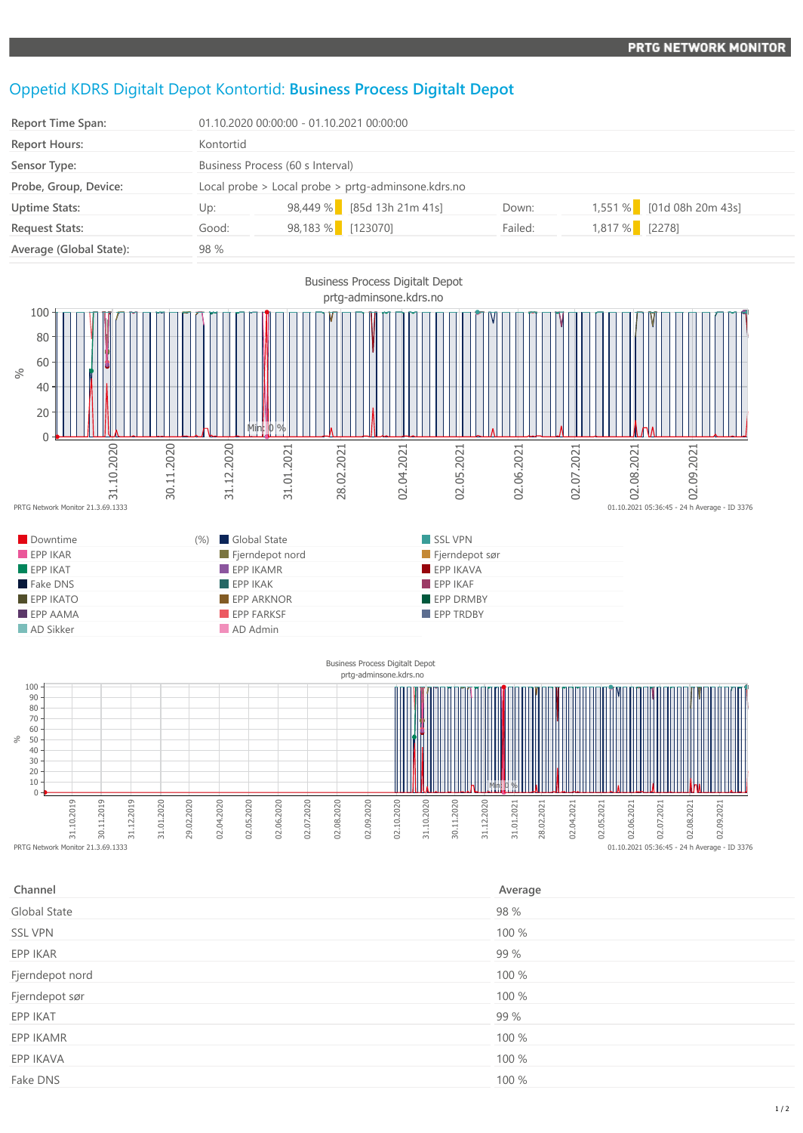## Oppetid KDRS Digitalt Depot Kontortid: **Business Process Digitalt Depot**

| <b>Report Time Span:</b> |           | 01.10.2020 00:00:00 - 01.10.2021 00:00:00          |         |                |                           |  |
|--------------------------|-----------|----------------------------------------------------|---------|----------------|---------------------------|--|
| <b>Report Hours:</b>     | Kontortid |                                                    |         |                |                           |  |
| Sensor Type:             |           | Business Process (60 s Interval)                   |         |                |                           |  |
| Probe, Group, Device:    |           | Local probe > Local probe > prtg-adminsone.kdrs.no |         |                |                           |  |
| <b>Uptime Stats:</b>     | Up:       | 98,449 % [85d 13h 21m 41s]                         | Down:   |                | 1,551 % [01d 08h 20m 43s] |  |
| <b>Request Stats:</b>    | Good:     | 98,183 % [123070]                                  | Failed: | 1,817 % [2278] |                           |  |
| Average (Global State):  | 98 %      |                                                    |         |                |                           |  |





| Channel         | Average |
|-----------------|---------|
| Global State    | 98 %    |
| <b>SSL VPN</b>  | 100 %   |
| EPP IKAR        | 99 %    |
| Fjerndepot nord | 100 %   |
| Fjerndepot sør  | 100 %   |
| EPP IKAT        | 99 %    |
| EPP IKAMR       | 100 %   |
| EPP IKAVA       | 100 %   |
| Fake DNS        | 100 %   |
|                 |         |